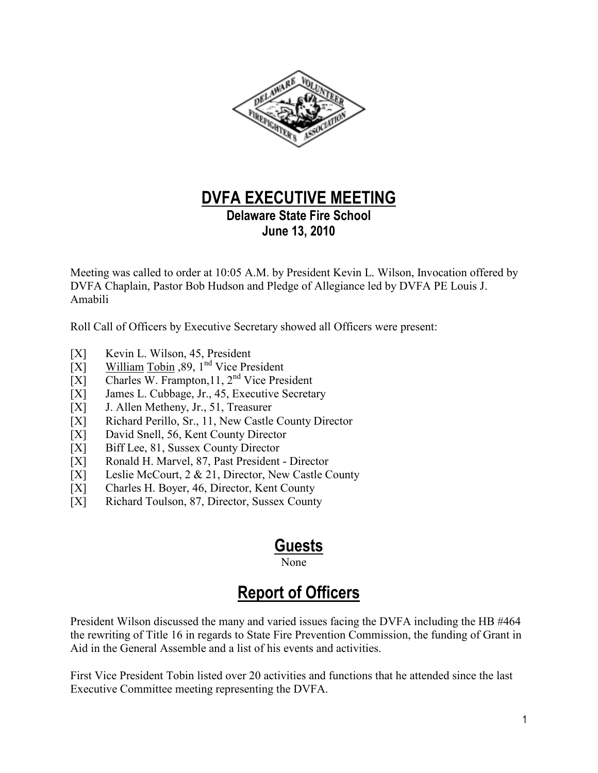

## **DVFA EXECUTIVE MEETING**

**Delaware State Fire School June 13, 2010**

Meeting was called to order at 10:05 A.M. by President Kevin L. Wilson, Invocation offered by DVFA Chaplain, Pastor Bob Hudson and Pledge of Allegiance led by DVFA PE Louis J. Amabili

Roll Call of Officers by Executive Secretary showed all Officers were present:

- [X] Kevin L. Wilson, 45, President
- [X] William Tobin ,89,  $1<sup>nd</sup>$  Vice President
- $[X]$  Charles W. Frampton, 11, 2<sup>nd</sup> Vice President
- [X] James L. Cubbage, Jr., 45, Executive Secretary
- [X] J. Allen Metheny, Jr., 51, Treasurer
- [X] Richard Perillo, Sr., 11, New Castle County Director
- [X] David Snell, 56, Kent County Director
- [X] Biff Lee, 81, Sussex County Director
- [X] Ronald H. Marvel, 87, Past President Director
- [X] Leslie McCourt, 2 & 21, Director, New Castle County
- [X] Charles H. Boyer, 46, Director, Kent County
- [X] Richard Toulson, 87, Director, Sussex County

### **Guests**

None None

# **Report of Officers**

President Wilson discussed the many and varied issues facing the DVFA including the HB #464 the rewriting of Title 16 in regards to State Fire Prevention Commission, the funding of Grant in Aid in the General Assemble and a list of his events and activities.

First Vice President Tobin listed over 20 activities and functions that he attended since the last Executive Committee meeting representing the DVFA.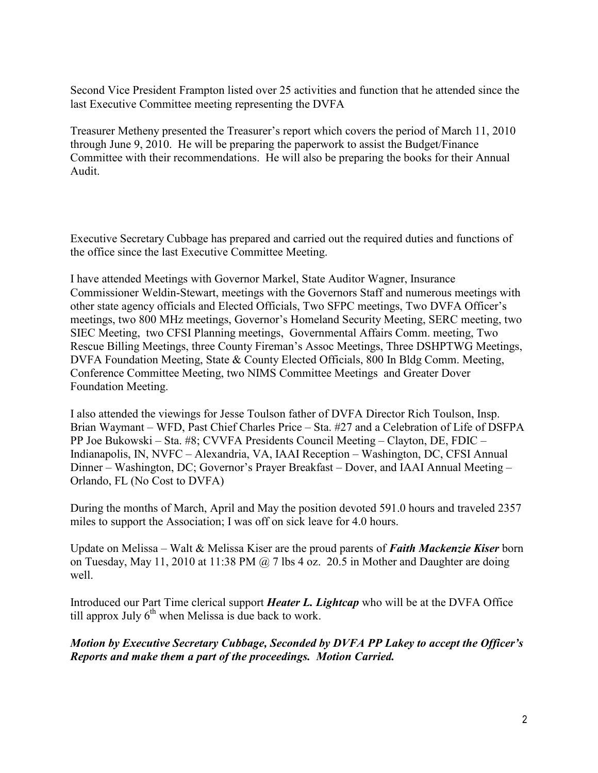Second Vice President Frampton listed over 25 activities and function that he attended since the last Executive Committee meeting representing the DVFA

Treasurer Metheny presented the Treasurer's report which covers the period of March 11, 2010 through June 9, 2010. He will be preparing the paperwork to assist the Budget/Finance Committee with their recommendations. He will also be preparing the books for their Annual Audit.

Executive Secretary Cubbage has prepared and carried out the required duties and functions of the office since the last Executive Committee Meeting.

I have attended Meetings with Governor Markel, State Auditor Wagner, Insurance Commissioner Weldin-Stewart, meetings with the Governors Staff and numerous meetings with other state agency officials and Elected Officials, Two SFPC meetings, Two DVFA Officer's meetings, two 800 MHz meetings, Governor's Homeland Security Meeting, SERC meeting, two SIEC Meeting, two CFSI Planning meetings, Governmental Affairs Comm. meeting, Two Rescue Billing Meetings, three County Fireman's Assoc Meetings, Three DSHPTWG Meetings, DVFA Foundation Meeting, State & County Elected Officials, 800 In Bldg Comm. Meeting, Conference Committee Meeting, two NIMS Committee Meetings and Greater Dover Foundation Meeting.

I also attended the viewings for Jesse Toulson father of DVFA Director Rich Toulson, Insp. Brian Waymant – WFD, Past Chief Charles Price – Sta. #27 and a Celebration of Life of DSFPA PP Joe Bukowski – Sta. #8; CVVFA Presidents Council Meeting – Clayton, DE, FDIC – Indianapolis, IN, NVFC – Alexandria, VA, IAAI Reception – Washington, DC, CFSI Annual Dinner – Washington, DC; Governor's Prayer Breakfast – Dover, and IAAI Annual Meeting – Orlando, FL (No Cost to DVFA)

During the months of March, April and May the position devoted 591.0 hours and traveled 2357 miles to support the Association; I was off on sick leave for 4.0 hours.

Update on Melissa – Walt & Melissa Kiser are the proud parents of *Faith Mackenzie Kiser* born on Tuesday, May 11, 2010 at 11:38 PM  $\omega$  7 lbs 4 oz. 20.5 in Mother and Daughter are doing well.

Introduced our Part Time clerical support *Heater L. Lightcap* who will be at the DVFA Office till approx July  $6<sup>th</sup>$  when Melissa is due back to work.

*Motion by Executive Secretary Cubbage, Seconded by DVFA PP Lakey to accept the Officer's Reports and make them a part of the proceedings. Motion Carried.*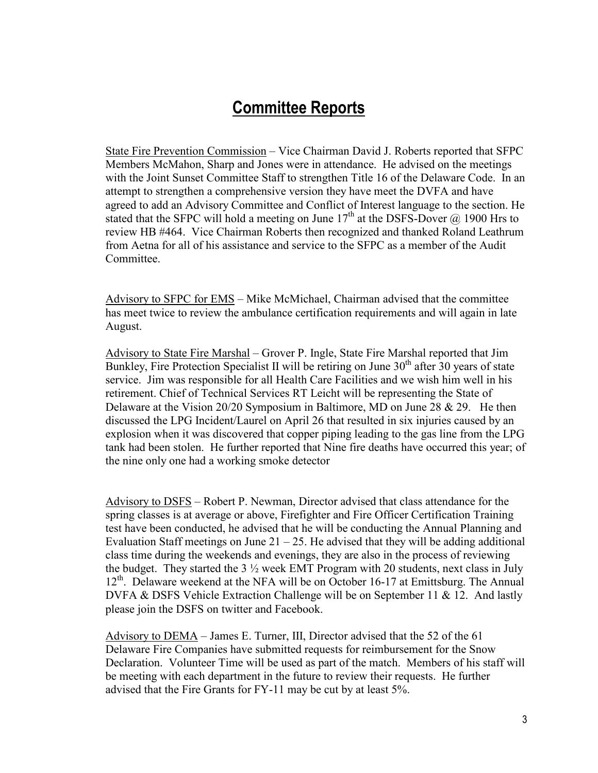### **Committee Reports**

State Fire Prevention Commission – Vice Chairman David J. Roberts reported that SFPC Members McMahon, Sharp and Jones were in attendance. He advised on the meetings with the Joint Sunset Committee Staff to strengthen Title 16 of the Delaware Code. In an attempt to strengthen a comprehensive version they have meet the DVFA and have agreed to add an Advisory Committee and Conflict of Interest language to the section. He stated that the SFPC will hold a meeting on June  $17<sup>th</sup>$  at the DSFS-Dover  $\omega$  1900 Hrs to review HB #464. Vice Chairman Roberts then recognized and thanked Roland Leathrum from Aetna for all of his assistance and service to the SFPC as a member of the Audit Committee.

Advisory to SFPC for EMS – Mike McMichael, Chairman advised that the committee has meet twice to review the ambulance certification requirements and will again in late August.

Advisory to State Fire Marshal – Grover P. Ingle, State Fire Marshal reported that Jim Bunkley, Fire Protection Specialist II will be retiring on June  $30<sup>th</sup>$  after 30 years of state service. Jim was responsible for all Health Care Facilities and we wish him well in his retirement. Chief of Technical Services RT Leicht will be representing the State of Delaware at the Vision 20/20 Symposium in Baltimore, MD on June 28 & 29. He then discussed the LPG Incident/Laurel on April 26 that resulted in six injuries caused by an explosion when it was discovered that copper piping leading to the gas line from the LPG tank had been stolen. He further reported that Nine fire deaths have occurred this year; of the nine only one had a working smoke detector

Advisory to DSFS – Robert P. Newman, Director advised that class attendance for the spring classes is at average or above, Firefighter and Fire Officer Certification Training test have been conducted, he advised that he will be conducting the Annual Planning and Evaluation Staff meetings on June  $21 - 25$ . He advised that they will be adding additional class time during the weekends and evenings, they are also in the process of reviewing the budget. They started the  $3\frac{1}{2}$  week EMT Program with 20 students, next class in July  $12<sup>th</sup>$ . Delaware weekend at the NFA will be on October 16-17 at Emittsburg. The Annual DVFA & DSFS Vehicle Extraction Challenge will be on September 11 & 12. And lastly please join the DSFS on twitter and Facebook.

Advisory to DEMA – James E. Turner, III, Director advised that the 52 of the 61 Delaware Fire Companies have submitted requests for reimbursement for the Snow Declaration. Volunteer Time will be used as part of the match. Members of his staff will be meeting with each department in the future to review their requests. He further advised that the Fire Grants for FY-11 may be cut by at least 5%.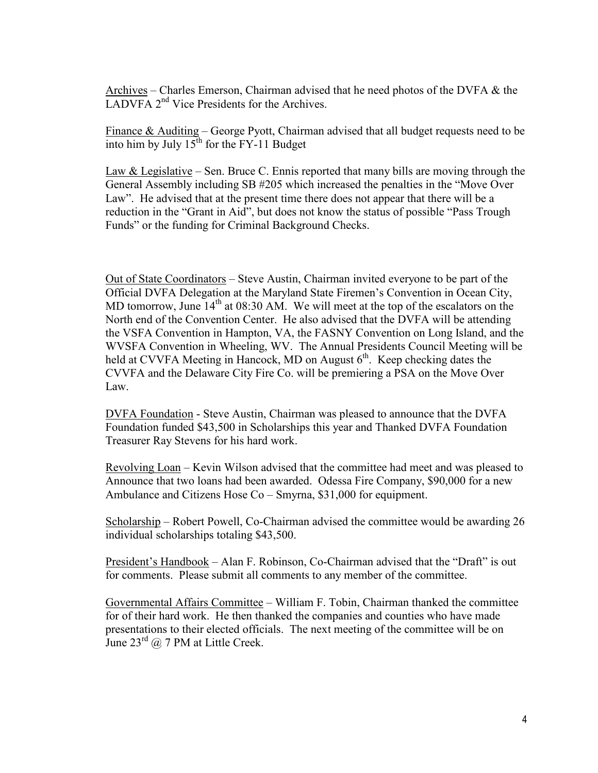Archives – Charles Emerson, Chairman advised that he need photos of the DVFA & the LADVFA 2<sup>nd</sup> Vice Presidents for the Archives.

Finance & Auditing – George Pyott, Chairman advised that all budget requests need to be into him by July  $15^{th}$  for the FY-11 Budget

Law  $&$  Legislative – Sen. Bruce C. Ennis reported that many bills are moving through the General Assembly including SB #205 which increased the penalties in the "Move Over Law". He advised that at the present time there does not appear that there will be a reduction in the "Grant in Aid", but does not know the status of possible "Pass Trough Funds" or the funding for Criminal Background Checks.

Out of State Coordinators – Steve Austin, Chairman invited everyone to be part of the Official DVFA Delegation at the Maryland State Firemen's Convention in Ocean City, MD tomorrow, June  $14<sup>th</sup>$  at 08:30 AM. We will meet at the top of the escalators on the North end of the Convention Center. He also advised that the DVFA will be attending the VSFA Convention in Hampton, VA, the FASNY Convention on Long Island, and the WVSFA Convention in Wheeling, WV. The Annual Presidents Council Meeting will be held at CVVFA Meeting in Hancock, MD on August  $6<sup>th</sup>$ . Keep checking dates the CVVFA and the Delaware City Fire Co. will be premiering a PSA on the Move Over Law.

DVFA Foundation - Steve Austin, Chairman was pleased to announce that the DVFA Foundation funded \$43,500 in Scholarships this year and Thanked DVFA Foundation Treasurer Ray Stevens for his hard work.

Revolving Loan – Kevin Wilson advised that the committee had meet and was pleased to Announce that two loans had been awarded. Odessa Fire Company, \$90,000 for a new Ambulance and Citizens Hose Co – Smyrna, \$31,000 for equipment.

Scholarship – Robert Powell, Co-Chairman advised the committee would be awarding 26 individual scholarships totaling \$43,500.

President's Handbook – Alan F. Robinson, Co-Chairman advised that the "Draft" is out for comments. Please submit all comments to any member of the committee.

Governmental Affairs Committee – William F. Tobin, Chairman thanked the committee for of their hard work. He then thanked the companies and counties who have made presentations to their elected officials. The next meeting of the committee will be on June  $23^{\text{rd}}$  @ 7 PM at Little Creek.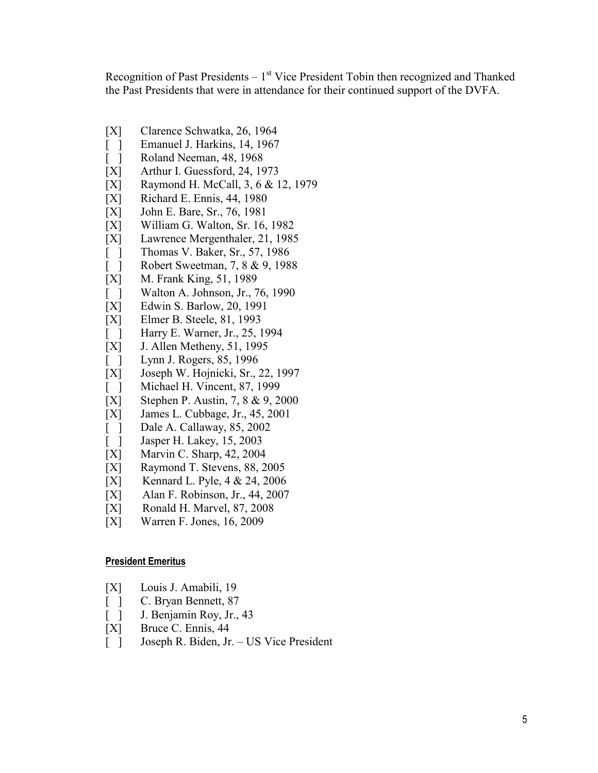Recognition of Past Presidents  $-1<sup>st</sup>$  Vice President Tobin then recognized and Thanked the Past Presidents that were in attendance for their continued support of the DVFA.

- [X] Clarence Schwatka, 26, 1964
- [ ] Emanuel J. Harkins, 14, 1967
- [ ] Roland Neeman, 48, 1968
- [X] Arthur I. Guessford, 24, 1973
- [X] Raymond H. McCall, 3, 6 & 12, 1979
- [X] Richard E. Ennis, 44, 1980
- [X] John E. Bare, Sr., 76, 1981
- [X] William G. Walton, Sr. 16, 1982
- [X] Lawrence Mergenthaler, 21, 1985
- [ ] Thomas V. Baker, Sr., 57, 1986
- [ ] Robert Sweetman, 7, 8 & 9, 1988
- [X] M. Frank King, 51, 1989
- [ ] Walton A. Johnson, Jr., 76, 1990
- [X] Edwin S. Barlow, 20, 1991
- [X] Elmer B. Steele, 81, 1993
- [ ] Harry E. Warner, Jr., 25, 1994
- [X] J. Allen Metheny, 51, 1995
- [ ] Lynn J. Rogers, 85, 1996
- [X] Joseph W. Hojnicki, Sr., 22, 1997
- [ ] Michael H. Vincent, 87, 1999
- [X] Stephen P. Austin, 7, 8 & 9, 2000
- [X] James L. Cubbage, Jr., 45, 2001
- [ ] Dale A. Callaway, 85, 2002
- [ ] Jasper H. Lakey, 15, 2003
- [X] Marvin C. Sharp, 42, 2004
- [X] Raymond T. Stevens, 88, 2005
- [X] Kennard L. Pyle, 4 & 24, 2006
- [X] Alan F. Robinson, Jr., 44, 2007
- [X] Ronald H. Marvel, 87, 2008
- [X] Warren F. Jones, 16, 2009

#### **President Emeritus**

- [X] Louis J. Amabili, 19
- [ ] C. Bryan Bennett, 87
- [ ] J. Benjamin Roy, Jr., 43
- [X] Bruce C. Ennis, 44
- [ ] Joseph R. Biden, Jr. US Vice President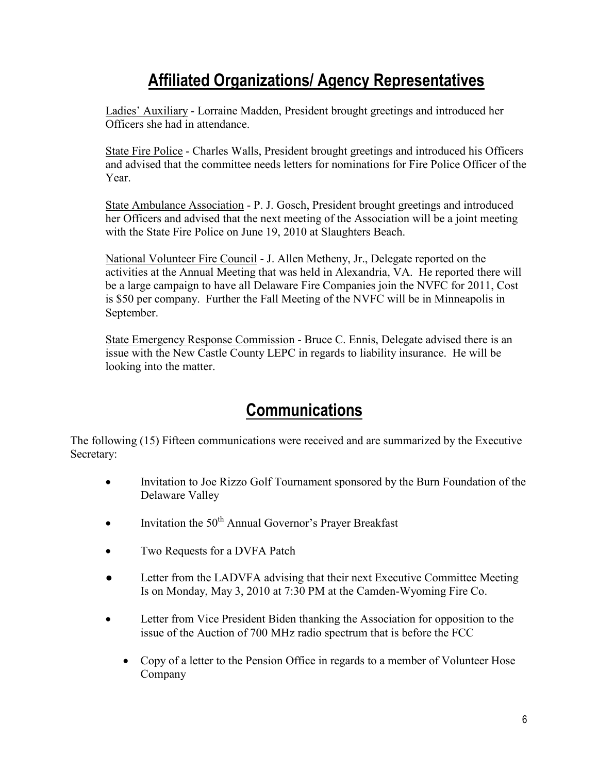## **Affiliated Organizations/ Agency Representatives**

Ladies' Auxiliary - Lorraine Madden, President brought greetings and introduced her Officers she had in attendance.

State Fire Police - Charles Walls, President brought greetings and introduced his Officers and advised that the committee needs letters for nominations for Fire Police Officer of the Year.

State Ambulance Association - P. J. Gosch, President brought greetings and introduced her Officers and advised that the next meeting of the Association will be a joint meeting with the State Fire Police on June 19, 2010 at Slaughters Beach.

National Volunteer Fire Council - J. Allen Metheny, Jr., Delegate reported on the activities at the Annual Meeting that was held in Alexandria, VA. He reported there will be a large campaign to have all Delaware Fire Companies join the NVFC for 2011, Cost is \$50 per company. Further the Fall Meeting of the NVFC will be in Minneapolis in September.

State Emergency Response Commission - Bruce C. Ennis, Delegate advised there is an issue with the New Castle County LEPC in regards to liability insurance. He will be looking into the matter.

### **Communications**

The following (15) Fifteen communications were received and are summarized by the Executive Secretary:

- Invitation to Joe Rizzo Golf Tournament sponsored by the Burn Foundation of the Delaware Valley
- Invitation the  $50<sup>th</sup>$  Annual Governor's Prayer Breakfast
- Two Requests for a DVFA Patch
- Letter from the LADVFA advising that their next Executive Committee Meeting Is on Monday, May 3, 2010 at 7:30 PM at the Camden-Wyoming Fire Co.
- Letter from Vice President Biden thanking the Association for opposition to the issue of the Auction of 700 MHz radio spectrum that is before the FCC
	- Copy of a letter to the Pension Office in regards to a member of Volunteer Hose Company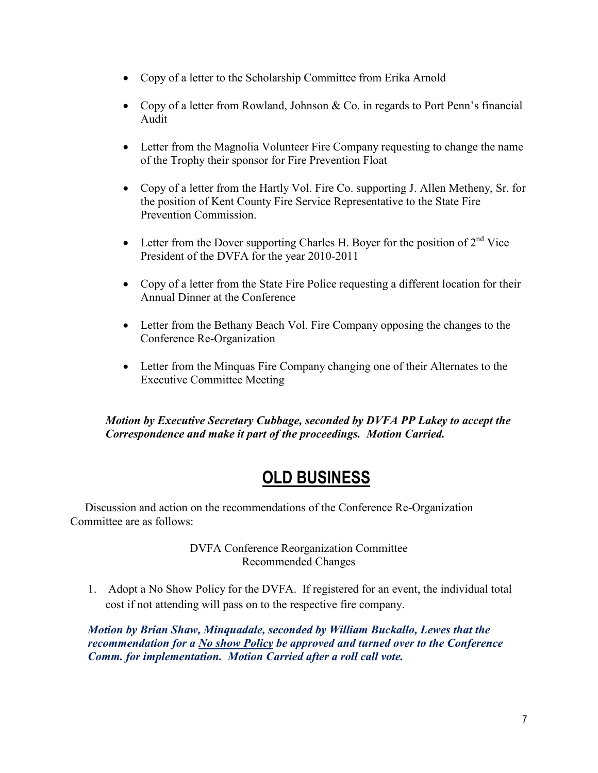- Copy of a letter to the Scholarship Committee from Erika Arnold
- Copy of a letter from Rowland, Johnson & Co. in regards to Port Penn's financial Audit
- Letter from the Magnolia Volunteer Fire Company requesting to change the name of the Trophy their sponsor for Fire Prevention Float
- Copy of a letter from the Hartly Vol. Fire Co. supporting J. Allen Metheny, Sr. for the position of Kent County Fire Service Representative to the State Fire Prevention Commission.
- Letter from the Dover supporting Charles H. Boyer for the position of  $2^{nd}$  Vice President of the DVFA for the year 2010-2011
- Copy of a letter from the State Fire Police requesting a different location for their Annual Dinner at the Conference
- Letter from the Bethany Beach Vol. Fire Company opposing the changes to the Conference Re-Organization
- Letter from the Minguas Fire Company changing one of their Alternates to the Executive Committee Meeting

*Motion by Executive Secretary Cubbage, seconded by DVFA PP Lakey to accept the Correspondence and make it part of the proceedings. Motion Carried.* 

# **OLD BUSINESS**

 Discussion and action on the recommendations of the Conference Re-Organization Committee are as follows:

> DVFA Conference Reorganization Committee Recommended Changes

1. Adopt a No Show Policy for the DVFA. If registered for an event, the individual total cost if not attending will pass on to the respective fire company.

*Motion by Brian Shaw, Minquadale, seconded by William Buckallo, Lewes that the recommendation for a No show Policy be approved and turned over to the Conference Comm. for implementation. Motion Carried after a roll call vote.*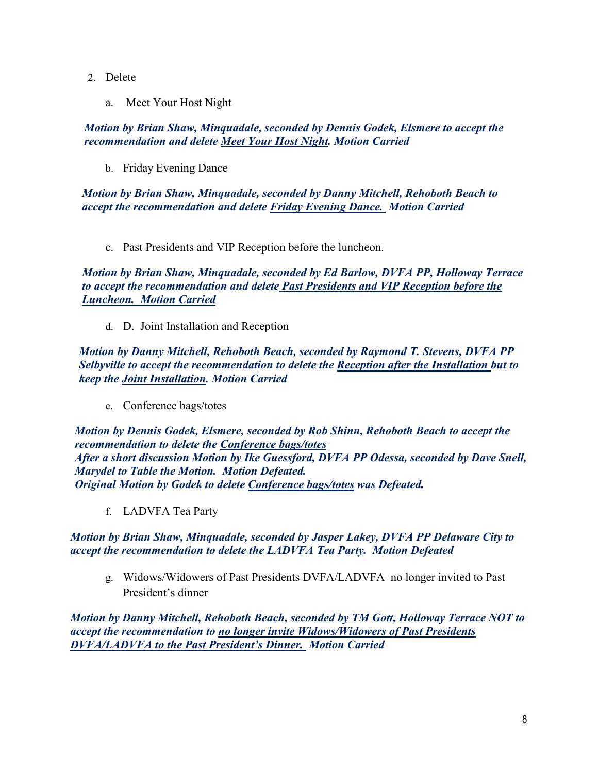- 2. Delete
	- a. Meet Your Host Night

*Motion by Brian Shaw, Minquadale, seconded by Dennis Godek, Elsmere to accept the recommendation and delete Meet Your Host Night. Motion Carried* 

b. Friday Evening Dance

*Motion by Brian Shaw, Minquadale, seconded by Danny Mitchell, Rehoboth Beach to accept the recommendation and delete Friday Evening Dance. Motion Carried*

c. Past Presidents and VIP Reception before the luncheon.

*Motion by Brian Shaw, Minquadale, seconded by Ed Barlow, DVFA PP, Holloway Terrace to accept the recommendation and delete Past Presidents and VIP Reception before the Luncheon. Motion Carried*

d. D. Joint Installation and Reception

*Motion by Danny Mitchell, Rehoboth Beach, seconded by Raymond T. Stevens, DVFA PP Selbyville to accept the recommendation to delete the Reception after the Installation but to keep the Joint Installation. Motion Carried* 

e. Conference bags/totes

*Motion by Dennis Godek, Elsmere, seconded by Rob Shinn, Rehoboth Beach to accept the recommendation to delete the Conference bags/totes After a short discussion Motion by Ike Guessford, DVFA PP Odessa, seconded by Dave Snell, Marydel to Table the Motion. Motion Defeated. Original Motion by Godek to delete Conference bags/totes was Defeated.* 

f. LADVFA Tea Party

*Motion by Brian Shaw, Minquadale, seconded by Jasper Lakey, DVFA PP Delaware City to accept the recommendation to delete the LADVFA Tea Party. Motion Defeated* 

g. Widows/Widowers of Past Presidents DVFA/LADVFA no longer invited to Past President's dinner

*Motion by Danny Mitchell, Rehoboth Beach, seconded by TM Gott, Holloway Terrace NOT to accept the recommendation to no longer invite Widows/Widowers of Past Presidents DVFA/LADVFA to the Past President's Dinner. Motion Carried*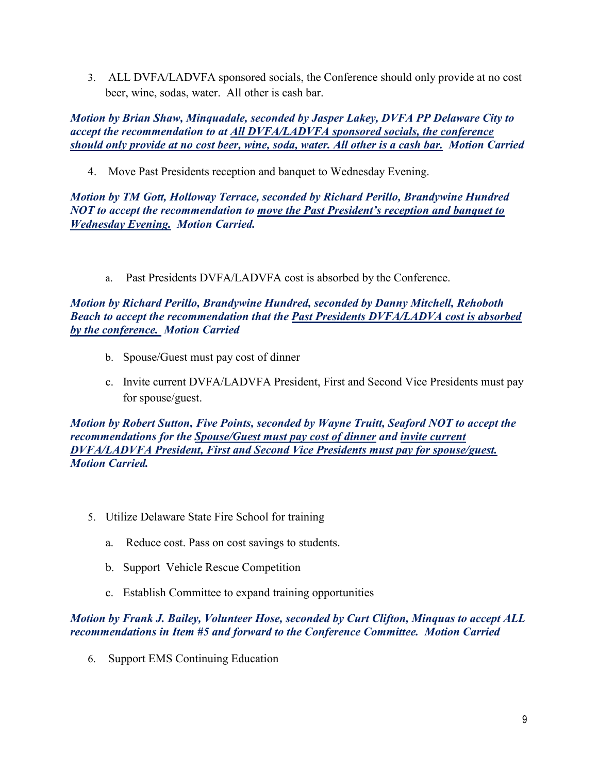3. ALL DVFA/LADVFA sponsored socials, the Conference should only provide at no cost beer, wine, sodas, water. All other is cash bar.

*Motion by Brian Shaw, Minquadale, seconded by Jasper Lakey, DVFA PP Delaware City to accept the recommendation to at All DVFA/LADVFA sponsored socials, the conference should only provide at no cost beer, wine, soda, water. All other is a cash bar. Motion Carried*

4. Move Past Presidents reception and banquet to Wednesday Evening.

*Motion by TM Gott, Holloway Terrace, seconded by Richard Perillo, Brandywine Hundred NOT to accept the recommendation to move the Past President's reception and banquet to Wednesday Evening. Motion Carried.* 

a. Past Presidents DVFA/LADVFA cost is absorbed by the Conference.

#### *Motion by Richard Perillo, Brandywine Hundred, seconded by Danny Mitchell, Rehoboth Beach to accept the recommendation that the Past Presidents DVFA/LADVA cost is absorbed by the conference. Motion Carried*

- b. Spouse/Guest must pay cost of dinner
- c. Invite current DVFA/LADVFA President, First and Second Vice Presidents must pay for spouse/guest.

*Motion by Robert Sutton, Five Points, seconded by Wayne Truitt, Seaford NOT to accept the recommendations for the Spouse/Guest must pay cost of dinner and invite current DVFA/LADVFA President, First and Second Vice Presidents must pay for spouse/guest. Motion Carried.* 

- 5. Utilize Delaware State Fire School for training
	- a. Reduce cost. Pass on cost savings to students.
	- b. Support Vehicle Rescue Competition
	- c. Establish Committee to expand training opportunities

#### *Motion by Frank J. Bailey, Volunteer Hose, seconded by Curt Clifton, Minquas to accept ALL recommendations in Item #5 and forward to the Conference Committee. Motion Carried*

6. Support EMS Continuing Education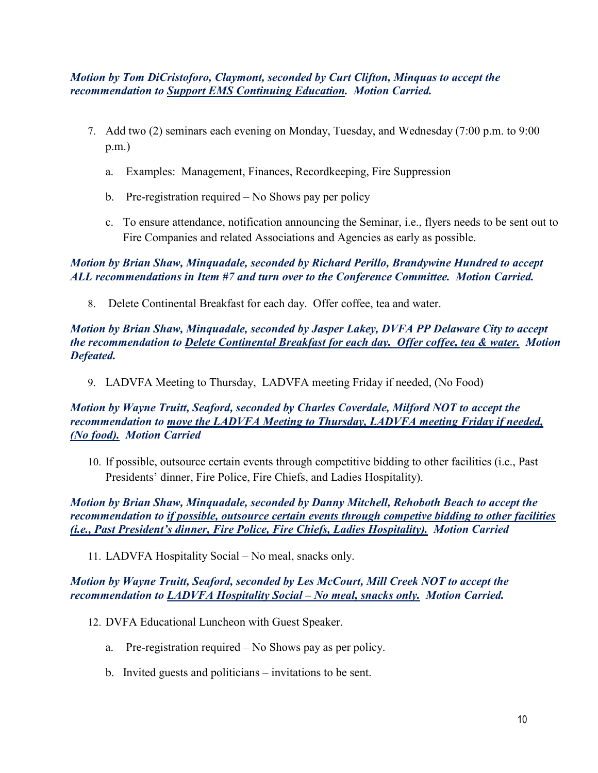*Motion by Tom DiCristoforo, Claymont, seconded by Curt Clifton, Minquas to accept the recommendation to Support EMS Continuing Education. Motion Carried.* 

- 7. Add two (2) seminars each evening on Monday, Tuesday, and Wednesday (7:00 p.m. to 9:00 p.m.)
	- a. Examples: Management, Finances, Recordkeeping, Fire Suppression
	- b. Pre-registration required No Shows pay per policy
	- c. To ensure attendance, notification announcing the Seminar, i.e., flyers needs to be sent out to Fire Companies and related Associations and Agencies as early as possible.

*Motion by Brian Shaw, Minquadale, seconded by Richard Perillo, Brandywine Hundred to accept ALL recommendations in Item #7 and turn over to the Conference Committee. Motion Carried.* 

8. Delete Continental Breakfast for each day. Offer coffee, tea and water.

*Motion by Brian Shaw, Minquadale, seconded by Jasper Lakey, DVFA PP Delaware City to accept the recommendation to Delete Continental Breakfast for each day. Offer coffee, tea & water. Motion Defeated.* 

9. LADVFA Meeting to Thursday, LADVFA meeting Friday if needed, (No Food)

*Motion by Wayne Truitt, Seaford, seconded by Charles Coverdale, Milford NOT to accept the recommendation to move the LADVFA Meeting to Thursday, LADVFA meeting Friday if needed, (No food). Motion Carried* 

10. If possible, outsource certain events through competitive bidding to other facilities (i.e., Past Presidents' dinner, Fire Police, Fire Chiefs, and Ladies Hospitality).

*Motion by Brian Shaw, Minquadale, seconded by Danny Mitchell, Rehoboth Beach to accept the recommendation to if possible, outsource certain events through competive bidding to other facilities (i.e., Past President's dinner, Fire Police, Fire Chiefs, Ladies Hospitality). Motion Carried* 

11. LADVFA Hospitality Social – No meal, snacks only.

*Motion by Wayne Truitt, Seaford, seconded by Les McCourt, Mill Creek NOT to accept the recommendation to LADVFA Hospitality Social – No meal, snacks only. Motion Carried.* 

- 12. DVFA Educational Luncheon with Guest Speaker.
	- a. Pre-registration required No Shows pay as per policy.
	- b. Invited guests and politicians invitations to be sent.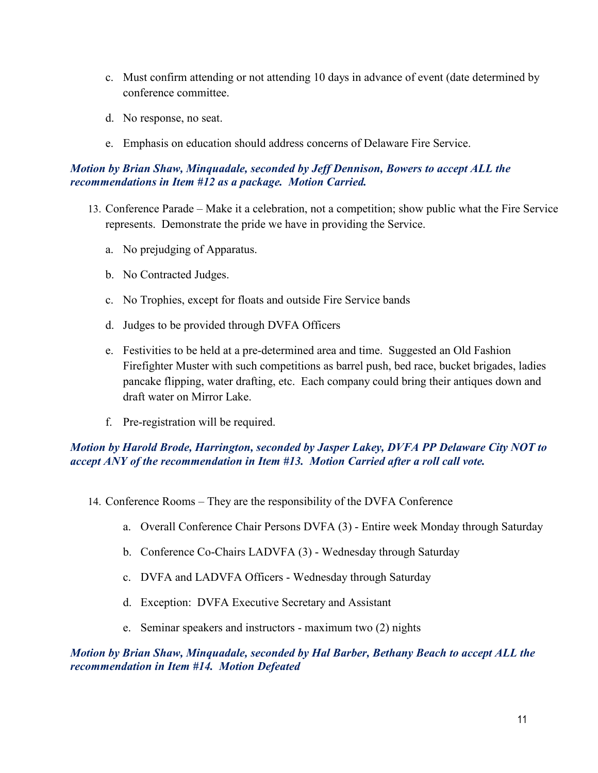- c. Must confirm attending or not attending 10 days in advance of event (date determined by conference committee.
- d. No response, no seat.
- e. Emphasis on education should address concerns of Delaware Fire Service.

#### *Motion by Brian Shaw, Minquadale, seconded by Jeff Dennison, Bowers to accept ALL the recommendations in Item #12 as a package. Motion Carried.*

- 13. Conference Parade Make it a celebration, not a competition; show public what the Fire Service represents. Demonstrate the pride we have in providing the Service.
	- a. No prejudging of Apparatus.
	- b. No Contracted Judges.
	- c. No Trophies, except for floats and outside Fire Service bands
	- d. Judges to be provided through DVFA Officers
	- e. Festivities to be held at a pre-determined area and time. Suggested an Old Fashion Firefighter Muster with such competitions as barrel push, bed race, bucket brigades, ladies pancake flipping, water drafting, etc. Each company could bring their antiques down and draft water on Mirror Lake.
	- f. Pre-registration will be required.

#### *Motion by Harold Brode, Harrington, seconded by Jasper Lakey, DVFA PP Delaware City NOT to accept ANY of the recommendation in Item #13. Motion Carried after a roll call vote.*

- 14. Conference Rooms They are the responsibility of the DVFA Conference
	- a. Overall Conference Chair Persons DVFA (3) Entire week Monday through Saturday
	- b. Conference Co-Chairs LADVFA (3) Wednesday through Saturday
	- c. DVFA and LADVFA Officers Wednesday through Saturday
	- d. Exception: DVFA Executive Secretary and Assistant
	- e. Seminar speakers and instructors maximum two (2) nights

#### *Motion by Brian Shaw, Minquadale, seconded by Hal Barber, Bethany Beach to accept ALL the recommendation in Item #14. Motion Defeated*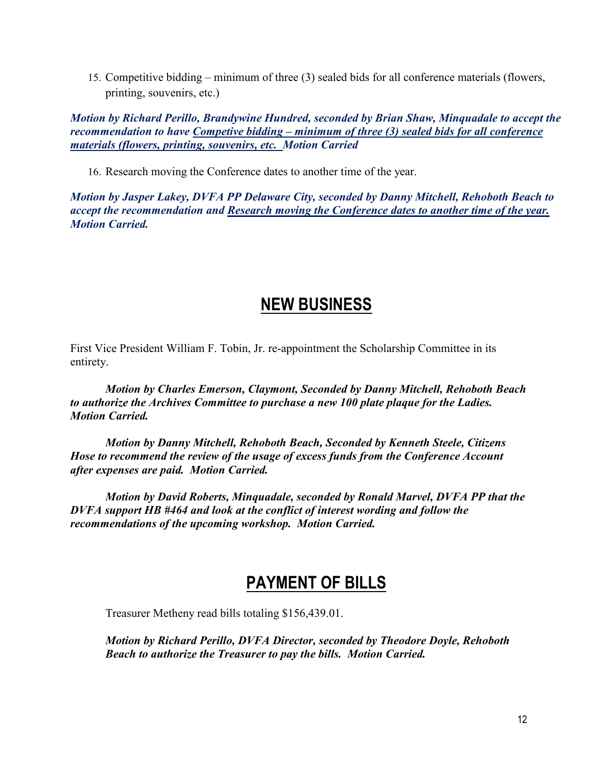15. Competitive bidding – minimum of three (3) sealed bids for all conference materials (flowers, printing, souvenirs, etc.)

*Motion by Richard Perillo, Brandywine Hundred, seconded by Brian Shaw, Minquadale to accept the recommendation to have Competive bidding – minimum of three (3) sealed bids for all conference materials (flowers, printing, souvenirs, etc. Motion Carried* 

16. Research moving the Conference dates to another time of the year.

*Motion by Jasper Lakey, DVFA PP Delaware City, seconded by Danny Mitchell, Rehoboth Beach to accept the recommendation and Research moving the Conference dates to another time of the year. Motion Carried.* 

### **NEW BUSINESS**

First Vice President William F. Tobin, Jr. re-appointment the Scholarship Committee in its entirety.

 *Motion by Charles Emerson, Claymont, Seconded by Danny Mitchell, Rehoboth Beach to authorize the Archives Committee to purchase a new 100 plate plaque for the Ladies. Motion Carried.* 

 *Motion by Danny Mitchell, Rehoboth Beach, Seconded by Kenneth Steele, Citizens Hose to recommend the review of the usage of excess funds from the Conference Account after expenses are paid. Motion Carried.* 

 *Motion by David Roberts, Minquadale, seconded by Ronald Marvel, DVFA PP that the DVFA support HB #464 and look at the conflict of interest wording and follow the recommendations of the upcoming workshop. Motion Carried.* 

### **PAYMENT OF BILLS**

Treasurer Metheny read bills totaling \$156,439.01.

*Motion by Richard Perillo, DVFA Director, seconded by Theodore Doyle, Rehoboth Beach to authorize the Treasurer to pay the bills. Motion Carried.*